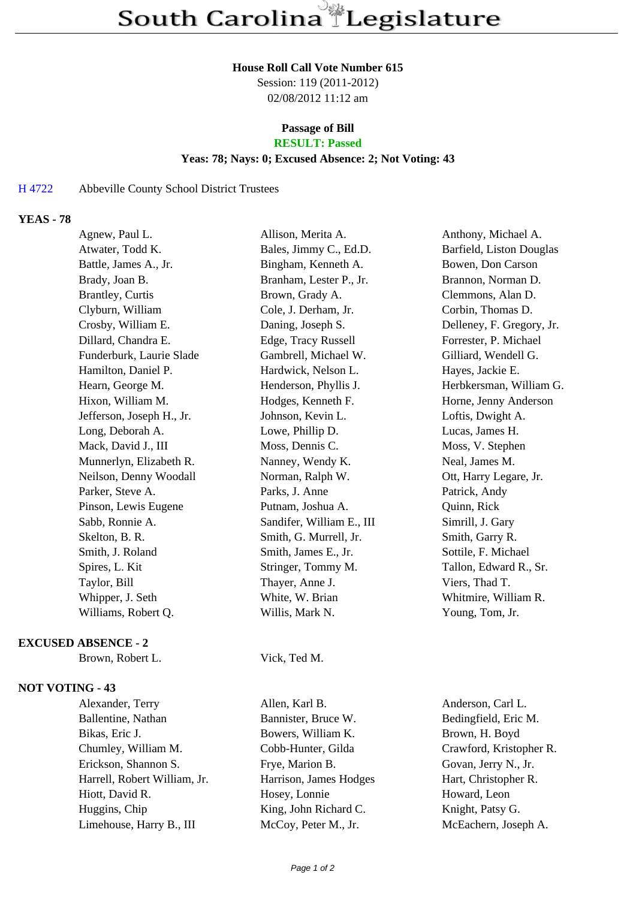#### **House Roll Call Vote Number 615**

Session: 119 (2011-2012) 02/08/2012 11:12 am

# **Passage of Bill**

## **RESULT: Passed**

### **Yeas: 78; Nays: 0; Excused Absence: 2; Not Voting: 43**

### H 4722 Abbeville County School District Trustees

### **YEAS - 78**

| Agnew, Paul L.            | Allison, Merita A.        | Anthony, Michael A.       |
|---------------------------|---------------------------|---------------------------|
| Atwater, Todd K.          | Bales, Jimmy C., Ed.D.    | Barfield, Liston Douglas  |
| Battle, James A., Jr.     | Bingham, Kenneth A.       | Bowen, Don Carson         |
| Brady, Joan B.            | Branham, Lester P., Jr.   | Brannon, Norman D.        |
| <b>Brantley, Curtis</b>   | Brown, Grady A.           | Clemmons, Alan D.         |
| Clyburn, William          | Cole, J. Derham, Jr.      | Corbin, Thomas D.         |
| Crosby, William E.        | Daning, Joseph S.         | Delleney, F. Gregory, Jr. |
| Dillard, Chandra E.       | Edge, Tracy Russell       | Forrester, P. Michael     |
| Funderburk, Laurie Slade  | Gambrell, Michael W.      | Gilliard, Wendell G.      |
| Hamilton, Daniel P.       | Hardwick, Nelson L.       | Hayes, Jackie E.          |
| Hearn, George M.          | Henderson, Phyllis J.     | Herbkersman, William G.   |
| Hixon, William M.         | Hodges, Kenneth F.        | Horne, Jenny Anderson     |
| Jefferson, Joseph H., Jr. | Johnson, Kevin L.         | Loftis, Dwight A.         |
| Long, Deborah A.          | Lowe, Phillip D.          | Lucas, James H.           |
| Mack, David J., III       | Moss, Dennis C.           | Moss, V. Stephen          |
| Munnerlyn, Elizabeth R.   | Nanney, Wendy K.          | Neal, James M.            |
| Neilson, Denny Woodall    | Norman, Ralph W.          | Ott, Harry Legare, Jr.    |
| Parker, Steve A.          | Parks, J. Anne            | Patrick, Andy             |
| Pinson, Lewis Eugene      | Putnam, Joshua A.         | Quinn, Rick               |
| Sabb, Ronnie A.           | Sandifer, William E., III | Simrill, J. Gary          |
| Skelton, B. R.            | Smith, G. Murrell, Jr.    | Smith, Garry R.           |
| Smith, J. Roland          | Smith, James E., Jr.      | Sottile, F. Michael       |
| Spires, L. Kit            | Stringer, Tommy M.        | Tallon, Edward R., Sr.    |
| Taylor, Bill              | Thayer, Anne J.           | Viers, Thad T.            |
| Whipper, J. Seth          | White, W. Brian           | Whitmire, William R.      |
| Williams, Robert Q.       | Willis, Mark N.           | Young, Tom, Jr.           |
|                           |                           |                           |

#### **EXCUSED ABSENCE - 2**

Brown, Robert L. Vick, Ted M.

#### **NOT VOTING - 43**

Alexander, Terry Allen, Karl B. Anderson, Carl L. Ballentine, Nathan Bannister, Bruce W. Bedingfield, Eric M. Bikas, Eric J. Bowers, William K. Brown, H. Boyd Chumley, William M. Cobb-Hunter, Gilda Crawford, Kristopher R. Erickson, Shannon S. Frye, Marion B. Govan, Jerry N., Jr. Harrell, Robert William, Jr. Harrison, James Hodges Hart, Christopher R. Hiott, David R. **Hosey, Lonnie** Howard, Leon Huggins, Chip King, John Richard C. Knight, Patsy G. Limehouse, Harry B., III McCoy, Peter M., Jr. McEachern, Joseph A.